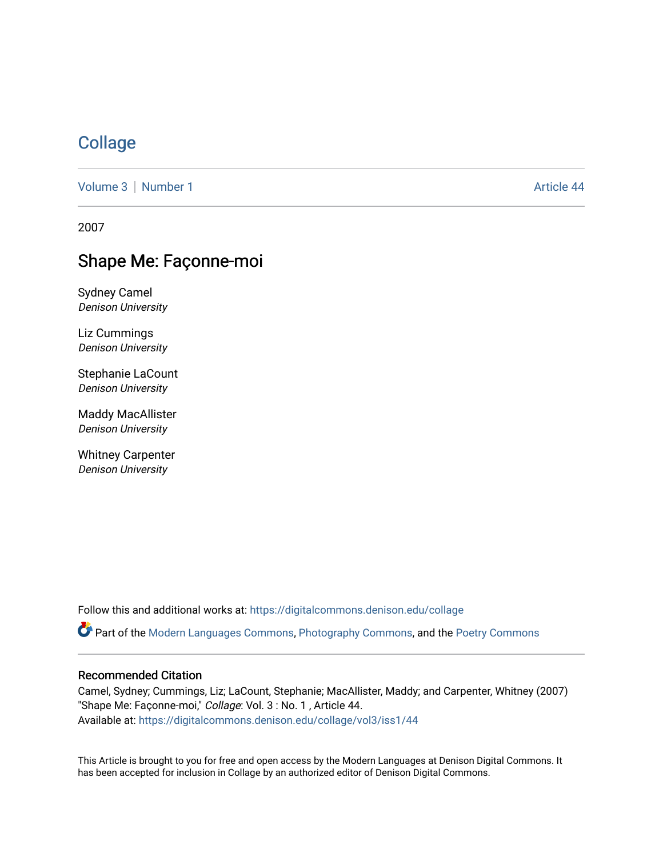# **[Collage](https://digitalcommons.denison.edu/collage)**

[Volume 3](https://digitalcommons.denison.edu/collage/vol3) [Number 1](https://digitalcommons.denison.edu/collage/vol3/iss1) Article 44

2007

# Shape Me: Façonne-moi

Sydney Camel Denison University

Liz Cummings Denison University

Stephanie LaCount Denison University

Maddy MacAllister Denison University

Whitney Carpenter Denison University

Follow this and additional works at: [https://digitalcommons.denison.edu/collage](https://digitalcommons.denison.edu/collage?utm_source=digitalcommons.denison.edu%2Fcollage%2Fvol3%2Fiss1%2F44&utm_medium=PDF&utm_campaign=PDFCoverPages) 

Part of the [Modern Languages Commons,](http://network.bepress.com/hgg/discipline/1130?utm_source=digitalcommons.denison.edu%2Fcollage%2Fvol3%2Fiss1%2F44&utm_medium=PDF&utm_campaign=PDFCoverPages) [Photography Commons](http://network.bepress.com/hgg/discipline/1142?utm_source=digitalcommons.denison.edu%2Fcollage%2Fvol3%2Fiss1%2F44&utm_medium=PDF&utm_campaign=PDFCoverPages), and the [Poetry Commons](http://network.bepress.com/hgg/discipline/1153?utm_source=digitalcommons.denison.edu%2Fcollage%2Fvol3%2Fiss1%2F44&utm_medium=PDF&utm_campaign=PDFCoverPages)

#### Recommended Citation

Camel, Sydney; Cummings, Liz; LaCount, Stephanie; MacAllister, Maddy; and Carpenter, Whitney (2007) "Shape Me: Façonne-moi," Collage: Vol. 3 : No. 1, Article 44. Available at: [https://digitalcommons.denison.edu/collage/vol3/iss1/44](https://digitalcommons.denison.edu/collage/vol3/iss1/44?utm_source=digitalcommons.denison.edu%2Fcollage%2Fvol3%2Fiss1%2F44&utm_medium=PDF&utm_campaign=PDFCoverPages)

This Article is brought to you for free and open access by the Modern Languages at Denison Digital Commons. It has been accepted for inclusion in Collage by an authorized editor of Denison Digital Commons.